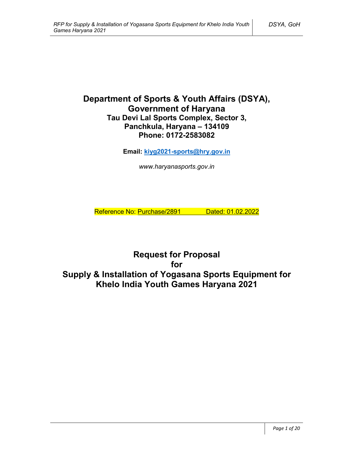# **Department of Sports & Youth Affairs (DSYA), Government of Haryana Tau Devi Lal Sports Complex, Sector 3, Panchkula, Haryana – 134109 Phone: 0172-2583082**

**Email: kiyg2021-sports@hry.gov.in**

*www.haryanasports.gov.in*

Reference No: Purchase/2891 Dated: 01.02.2022

**Request for Proposal for Supply & Installation of Yogasana Sports Equipment for Khelo India Youth Games Haryana 2021**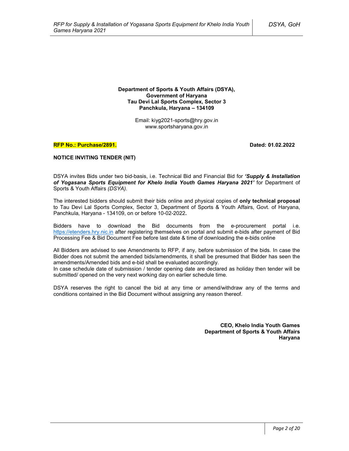**Department of Sports & Youth Affairs (DSYA), Government of Haryana Tau Devi Lal Sports Complex, Sector 3 Panchkula, Haryana – 134109**

> Email: kiyg2021-sports@hry.gov.in www.sportsharyana.gov.in

#### **RFP No.: Purchase/2891. Dated: 01.02.2022**

#### **NOTICE INVITING TENDER (NIT)**

DSYA invites Bids under two bid-basis, i.e. Technical Bid and Financial Bid for *'Supply & Installation of Yogasana Sports Equipment for Khelo India Youth Games Haryana 2021'* for Department of Sports & Youth Affairs *(DSYA)*.

The interested bidders should submit their bids online and physical copies of **only technical proposal** to Tau Devi Lal Sports Complex, Sector 3, Department of Sports & Youth Affairs, Govt. of Haryana, Panchkula, Haryana - 134109, on or before 10-02-2022**.**

Bidders have to download the Bid documents from the e-procurement portal i.e. https://etenders.hry.nic.in after registering themselves on portal and submit e-bids after payment of Bid Processing Fee & Bid Document Fee before last date & time of downloading the e-bids online

All Bidders are advised to see Amendments to RFP, if any, before submission of the bids. In case the Bidder does not submit the amended bids/amendments, it shall be presumed that Bidder has seen the amendments/Amended bids and e-bid shall be evaluated accordingly.

In case schedule date of submission / tender opening date are declared as holiday then tender will be submitted/ opened on the very next working day on earlier schedule time.

DSYA reserves the right to cancel the bid at any time or amend/withdraw any of the terms and conditions contained in the Bid Document without assigning any reason thereof.

> **CEO, Khelo India Youth Games Department of Sports & Youth Affairs Haryana**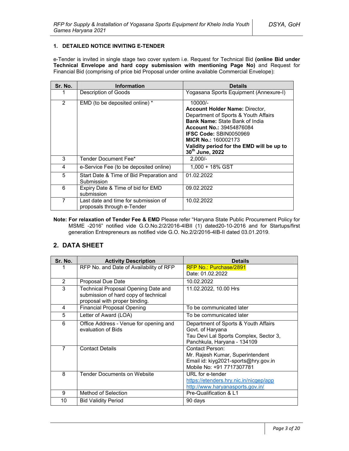### **1. DETAILED NOTICE INVITING E-TENDER**

e-Tender is invited in single stage two cover system i.e. Request for Technical Bid **(online Bid under Technical Envelope and hard copy submission with mentioning Page No)** and Request for Financial Bid (comprising of price bid Proposal under online available Commercial Envelope):

| Sr. No. | <b>Information</b>                                                 | <b>Details</b>                                                                                                                                                                                                                                                                                        |
|---------|--------------------------------------------------------------------|-------------------------------------------------------------------------------------------------------------------------------------------------------------------------------------------------------------------------------------------------------------------------------------------------------|
|         | Description of Goods                                               | Yogasana Sports Equipment (Annexure-I)                                                                                                                                                                                                                                                                |
| 2       | EMD (to be deposited online) *                                     | $10000/-$<br><b>Account Holder Name: Director,</b><br>Department of Sports & Youth Affairs<br><b>Bank Name: State Bank of India</b><br><b>Account No.: 39454876084</b><br><b>IFSC Code: SBIN0050969</b><br><b>MICR No.: 160002173</b><br>Validity period for the EMD will be up to<br>30th June, 2022 |
| 3       | Tender Document Fee*                                               | $2,000/-$                                                                                                                                                                                                                                                                                             |
| 4       | e-Service Fee (to be deposited online)                             | $1.000 + 18\%$ GST                                                                                                                                                                                                                                                                                    |
| 5       | Start Date & Time of Bid Preparation and<br>Submission             | 01.02.2022                                                                                                                                                                                                                                                                                            |
| 6       | Expiry Date & Time of bid for EMD<br>submission                    | 09.02.2022                                                                                                                                                                                                                                                                                            |
| 7       | Last date and time for submission of<br>proposals through e-Tender | 10.02.2022                                                                                                                                                                                                                                                                                            |

**Note: For relaxation of Tender Fee & EMD** Please refer "Haryana State Public Procurement Policy for MSME -2016" notified vide G.O.No.2/2/2016-4IBII (1) dated20-10-2016 and for Startups/first generation Entrepreneurs as notified vide G.O. No.2/2/2016-4IB-II dated 03.01.2019.

# **2. DATA SHEET**

| Sr. No.        | <b>Activity Description</b>                                                                                  | <b>Details</b>                                                                                                                    |
|----------------|--------------------------------------------------------------------------------------------------------------|-----------------------------------------------------------------------------------------------------------------------------------|
|                | RFP No. and Date of Availability of RFP                                                                      | RFP No.: Purchase/2891                                                                                                            |
|                |                                                                                                              | Date: 01.02.2022                                                                                                                  |
| $\overline{2}$ | Proposal Due Date                                                                                            | 10.02.2022                                                                                                                        |
| 3              | Technical Proposal Opening Date and<br>submission of hard copy of technical<br>proposal with proper binding. | 11.02.2022, 10.00 Hrs                                                                                                             |
| 4              | <b>Financial Proposal Opening</b>                                                                            | To be communicated later                                                                                                          |
| 5              | Letter of Award (LOA)                                                                                        | To be communicated later                                                                                                          |
| 6              | Office Address - Venue for opening and<br>evaluation of Bids                                                 | Department of Sports & Youth Affairs<br>Govt. of Haryana<br>Tau Devi Lal Sports Complex, Sector 3,<br>Panchkula, Haryana - 134109 |
| $\overline{7}$ | <b>Contact Details</b>                                                                                       | Contact Person:<br>Mr. Rajesh Kumar, Superintendent<br>Email id: kiyg2021-sports@hry.gov.in<br>Mobile No: +91 7717307781          |
| 8              | <b>Tender Documents on Website</b>                                                                           | URL for e-tender<br>https://etenders.hry.nic.in/nicgep/app<br>http://www.haryanasports.gov.in/                                    |
| 9              | Method of Selection                                                                                          | Pre-Qualification & L1                                                                                                            |
| 10             | <b>Bid Validity Period</b>                                                                                   | 90 days                                                                                                                           |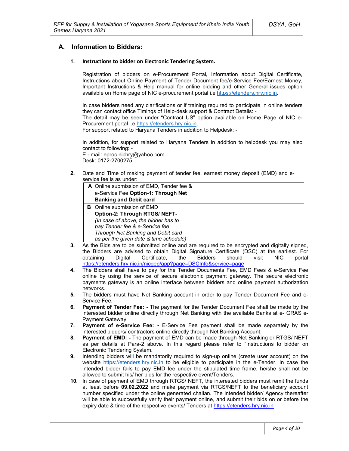# **A. Information to Bidders:**

#### **1. Instructions to bidder on Electronic Tendering System.**

Registration of bidders on e-Procurement Portal**,** Information about Digital Certificate, Instructions about Online Payment of Tender Document fee/e-Service Fee/Earnest Money, Important Instructions & Help manual for online bidding and other General issues option available on Home page of NIC e-procurement portal i.e https://etenders.hry.nic.in.

In case bidders need any clarifications or if training required to participate in online tenders they can contact office Timings of Help-desk support & Contract Details: -

The detail may be seen under "Contract US" option available on Home Page of NIC e-Procurement portal i.e https://etenders.hry.nic.in.

For support related to Haryana Tenders in addition to Helpdesk: -

In addition, for support related to Haryana Tenders in addition to helpdesk you may also contact to following: -

E - mail: eproc.nichry@yahoo.com Desk: 0172-2700275

**2.** Date and Time of making payment of tender fee, earnest money deposit (EMD) and eservice fee is as under:

|   | A Online submission of EMD, Tender fee & |  |
|---|------------------------------------------|--|
|   | e-Service Fee Option-1: Through Net      |  |
|   | <b>Banking and Debit card</b>            |  |
| в | Online submission of EMD                 |  |
|   | Option-2: Through RTGS/ NEFT-            |  |
|   | (In case of above, the bidder has to     |  |
|   | pay Tender fee & e-Service fee           |  |
|   | Through Net Banking and Debit card       |  |
|   | as per the given date & time schedule)   |  |

- **3.** As the Bids are to be submitted online and are required to be encrypted and digitally signed, the Bidders are advised to obtain Digital Signature Certificate (DSC) at the earliest. For obtaining Digital Certificate, the Bidders should visit NIC portal https://etenders.hry.nic.in/nicgep/app?page=DSCInfo&service=page
- **4.** The Bidders shall have to pay for the Tender Documents Fee, EMD Fees & e-Service Fee online by using the service of secure electronic payment gateway. The secure electronic payments gateway is an online interface between bidders and online payment authorization networks.
- **5.** The bidders must have Net Banking account in order to pay Tender Document Fee and e-Service Fee.
- **6. Payment of Tender Fee: -** The payment for the Tender Document Fee shall be made by the interested bidder online directly through Net Banking with the available Banks at e- GRAS e-Payment Gateway.
- **7. Payment of e-Service Fee: -** E-Service Fee payment shall be made separately by the interested bidders/ contractors online directly through Net Banking Account.
- **8. Payment of EMD: -** The payment of EMD can be made through Net Banking or RTGS/ NEFT as per details at Para-2 above. In this regard please refer to "Instructions to bidder on Electronic Tendering System.
- **9.** Intending bidders will be mandatorily required to sign-up online (create user account) on the website https://etenders.hry.nic.in to be eligible to participate in the e-Tender. In case the intended bidder fails to pay EMD fee under the stipulated time frame, he/she shall not be allowed to submit his/ her bids for the respective event/Tenders.
- **10.** In case of payment of EMD through RTGS/ NEFT, the interested bidders must remit the funds at least before **09.02.2022** and make payment via RTGS/NEFT to the beneficiary account number specified under the online generated challan. The intended bidder/ Agency thereafter will be able to successfully verify their payment online, and submit their bids on or before the expiry date & time of the respective events/ Tenders at https://etenders.hry.nic.in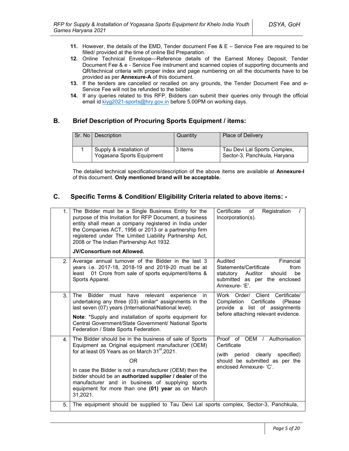- **11.** However, the details of the EMD, Tender document Fee & E Service Fee are required to be filled/ provided at the time of online Bid Preparation.
- **12.** Online Technical Envelope—Reference details of the Earnest Money Deposit, Tender Document Fee & e - Service Fee instrument and scanned copies of supporting documents and QR/technical criteria with proper index and page numbering on all the documents have to be provided as per **Annexure-A** of this document.
- **13.** If the tenders are cancelled or recalled on any grounds, the Tender Document Fee and e-Service Fee will not be refunded to the bidder.
- **14.** If any queries related to this RFP, Bidders can submit their queries only through the official email id kiyg2021-sports@hry.gov.in before 5.00PM on working days.

# **B. Brief Description of Procuring Sports Equipment / items:**

| Sr. No I | <b>Description</b>                                    | Quantity | <b>Place of Delivery</b>                                     |
|----------|-------------------------------------------------------|----------|--------------------------------------------------------------|
|          | Supply & installation of<br>Yogasana Sports Equipment | 3 Items  | Tau Devi Lal Sports Complex,<br>Sector-3, Panchkula, Haryana |

The detailed technical specifications/description of the above items are available at **Annexure-I** of this document. **Only mentioned brand will be acceptable.** 

# **C. Specific Terms & Condition/ Eligibility Criteria related to above items: -**

| 1.             | The Bidder must be a Single Business Entity for the<br>purpose of this Invitation for RFP Document, a business<br>entity shall mean a company registered in India under<br>the Companies ACT, 1956 or 2013 or a partnership firm<br>registered under The Limited Liability Partnership Act,<br>2008 or The Indian Partnership Act 1932.<br><b>JV/Consortium not Allowed.</b>                                                       | Certificate<br>Registration<br>of<br>Incorporation(s).                                                                                               |
|----------------|------------------------------------------------------------------------------------------------------------------------------------------------------------------------------------------------------------------------------------------------------------------------------------------------------------------------------------------------------------------------------------------------------------------------------------|------------------------------------------------------------------------------------------------------------------------------------------------------|
| 2 <sup>2</sup> | Average annual turnover of the Bidder in the last 3<br>years i.e. 2017-18, 2018-19 and 2019-20 must be at<br>01 Crore from sale of sports equipment/items &<br>least<br>Sports Apparel.                                                                                                                                                                                                                                            | Audited<br>Financial<br>Statements/Certificate<br>from<br>be<br>statutory<br>Auditor<br>should<br>submitted as per the enclosed<br>Annexure-'E'.     |
| 3.             | <b>Bidder</b><br>relevant<br>The<br>must<br>have<br>experience<br>in.<br>undertaking any three (03) similar* assignments in the<br>last seven (07) years (International/National level).<br>Note: *Supply and installation of sports equipment for<br>Central Government/State Government/ National Sports<br>Federation / State Sports Federation.                                                                                | Work Order/ Client Certificate/<br>Certificate<br>Completion<br>(Please)<br>provide a list of assignments<br>before attaching relevant evidence.     |
| 4 <sup>1</sup> | The Bidder should be in the business of sale of Sports<br>Equipment as Original equipment manufacturer (OEM)<br>for at least 05 Years as on March 31 <sup>st</sup> , 2021.<br><b>OR</b><br>In case the Bidder is not a manufacturer (OEM) then the<br>bidder should be an authorized supplier / dealer of the<br>manufacturer and in business of supplying sports<br>equipment for more than one (01) year as on March<br>31,2021. | Proof of OEM / Authorisation<br>Certificate<br>clearly<br>specified)<br>(with<br>period<br>should be submitted as per the<br>enclosed Annexure- 'C'. |
| 5.             | The equipment should be supplied to Tau Devi Lal sports complex, Sector-3, Panchkula,                                                                                                                                                                                                                                                                                                                                              |                                                                                                                                                      |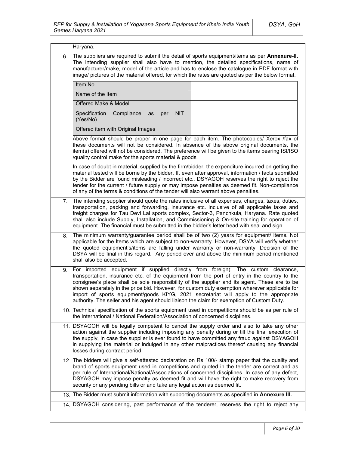|      | Haryana.                                                                                                                                                                                                                                                                                                                                                                                                                                                                                        |                                                                              |
|------|-------------------------------------------------------------------------------------------------------------------------------------------------------------------------------------------------------------------------------------------------------------------------------------------------------------------------------------------------------------------------------------------------------------------------------------------------------------------------------------------------|------------------------------------------------------------------------------|
| 6.   | The suppliers are required to submit the detail of sports equipment/items as per Annexure-II.<br>The intending supplier shall also have to mention, the detailed specifications, name of<br>manufacturer/make, model of the article and has to enclose the catalogue in PDF format with<br>image/ pictures of the material offered, for which the rates are quoted as per the below format.                                                                                                     |                                                                              |
|      | Item No                                                                                                                                                                                                                                                                                                                                                                                                                                                                                         |                                                                              |
|      | Name of the Item                                                                                                                                                                                                                                                                                                                                                                                                                                                                                |                                                                              |
|      | Offered Make & Model                                                                                                                                                                                                                                                                                                                                                                                                                                                                            |                                                                              |
|      | Specification<br>Compliance<br><b>NIT</b><br>as<br>per<br>(Yes/No)                                                                                                                                                                                                                                                                                                                                                                                                                              |                                                                              |
|      | Offered item with Original Images                                                                                                                                                                                                                                                                                                                                                                                                                                                               |                                                                              |
|      | Above format should be proper in one page for each item. The photocopies/ Xerox /fax of<br>these documents will not be considered. In absence of the above original documents, the<br>item(s) offered will not be considered. The preference will be given to the items bearing ISI/ISO<br>/quality control make for the sports material & goods.                                                                                                                                               |                                                                              |
|      | In case of doubt in material, supplied by the firm/bidder, the expenditure incurred on getting the<br>material tested will be borne by the bidder. If, even after approval, information / facts submitted<br>by the Bidder are found misleading / incorrect etc., DSYAGOH reserves the right to reject the<br>tender for the current / future supply or may impose penalties as deemed fit. Non-compliance<br>of any of the terms & conditions of the tender will also warrant above penalties. |                                                                              |
| 7.   | The intending supplier should quote the rates inclusive of all expenses, charges, taxes, duties,<br>transportation, packing and forwarding, insurance etc. inclusive of all applicable taxes and<br>freight charges for Tau Devi Lal sports complex, Sector-3, Panchkula, Haryana. Rate quoted<br>shall also include Supply, Installation, and Commissioning & On-site training for operation of<br>equipment. The financial must be submitted in the bidder's letter head with seal and sign.  |                                                                              |
| 8.   | The minimum warranty/guarantee period shall be of two (2) years for equipment/ items. Not<br>applicable for the Items which are subject to non-warranty. However, DSYA will verify whether<br>the quoted equipment's/items are falling under warranty or non-warranty. Decision of the<br>DSYA will be final in this regard. Any period over and above the minimum period mentioned<br>shall also be accepted.                                                                                  |                                                                              |
| 9.   | For<br>transportation, insurance etc. of the equipment from the port of entry in the country to the<br>consignee's place shall be sole responsibility of the supplier and its agent. These are to be<br>shown separately in the price bid. However, for custom duty exemption wherever applicable for<br>import of sports equipment/goods KIYG, 2021 secretariat will apply to the appropriate<br>authority. The seller and his agent should liaison the claim for exemption of Custom Duty.    | imported equipment if supplied directly from foreign): The custom clearance, |
|      | 10. Technical specification of the sports equipment used in competitions should be as per rule of<br>the International / National Federation/Association of concerned disciplines.                                                                                                                                                                                                                                                                                                              |                                                                              |
| 11 I | DSYAGOH will be legally competent to cancel the supply order and also to take any other<br>action against the supplier including imposing any penalty during or till the final execution of<br>the supply, in case the supplier is ever found to have committed any fraud against DSYAGOH<br>in supplying the material or indulged in any other malpractices thereof causing any financial<br>losses during contract period.                                                                    |                                                                              |
|      | 12. The bidders will give a self-attested declaration on Rs 100/- stamp paper that the quality and<br>brand of sports equipment used in competitions and quoted in the tender are correct and as<br>per rule of International/National/Associations of concerned disciplines. In case of any defect,<br>DSYAGOH may impose penalty as deemed fit and will have the right to make recovery from<br>security or any pending bills or and take any legal action as deemed fit.                     |                                                                              |
|      | 13. The Bidder must submit information with supporting documents as specified in Annexure III.                                                                                                                                                                                                                                                                                                                                                                                                  |                                                                              |
|      | 14. DSYAGOH considering, past performance of the tenderer, reserves the right to reject any                                                                                                                                                                                                                                                                                                                                                                                                     |                                                                              |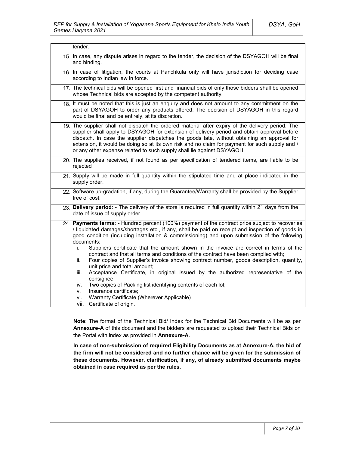|                 | tender.                                                                                                                                                                                                                                                                                                                                                                                                                                                                                                                                                                                                                                                                                                                                                                                                                                                                                                                                           |  |
|-----------------|---------------------------------------------------------------------------------------------------------------------------------------------------------------------------------------------------------------------------------------------------------------------------------------------------------------------------------------------------------------------------------------------------------------------------------------------------------------------------------------------------------------------------------------------------------------------------------------------------------------------------------------------------------------------------------------------------------------------------------------------------------------------------------------------------------------------------------------------------------------------------------------------------------------------------------------------------|--|
| 15.             | In case, any dispute arises in regard to the tender, the decision of the DSYAGOH will be final<br>and binding.                                                                                                                                                                                                                                                                                                                                                                                                                                                                                                                                                                                                                                                                                                                                                                                                                                    |  |
| 16.             | In case of litigation, the courts at Panchkula only will have jurisdiction for deciding case<br>according to Indian law in force.                                                                                                                                                                                                                                                                                                                                                                                                                                                                                                                                                                                                                                                                                                                                                                                                                 |  |
| 17.             | The technical bids will be opened first and financial bids of only those bidders shall be opened<br>whose Technical bids are accepted by the competent authority.                                                                                                                                                                                                                                                                                                                                                                                                                                                                                                                                                                                                                                                                                                                                                                                 |  |
| 18.             | It must be noted that this is just an enguiry and does not amount to any commitment on the<br>part of DSYAGOH to order any products offered. The decision of DSYAGOH in this regard<br>would be final and be entirely, at its discretion.                                                                                                                                                                                                                                                                                                                                                                                                                                                                                                                                                                                                                                                                                                         |  |
| 19 <sub>1</sub> | The supplier shall not dispatch the ordered material after expiry of the delivery period. The<br>supplier shall apply to DSYAGOH for extension of delivery period and obtain approval before<br>dispatch. In case the supplier dispatches the goods late, without obtaining an approval for<br>extension, it would be doing so at its own risk and no claim for payment for such supply and /<br>or any other expense related to such supply shall lie against DSYAGOH.                                                                                                                                                                                                                                                                                                                                                                                                                                                                           |  |
|                 | 20. The supplies received, if not found as per specification of tendered items, are liable to be<br>rejected                                                                                                                                                                                                                                                                                                                                                                                                                                                                                                                                                                                                                                                                                                                                                                                                                                      |  |
| 21              | Supply will be made in full quantity within the stipulated time and at place indicated in the<br>supply order.                                                                                                                                                                                                                                                                                                                                                                                                                                                                                                                                                                                                                                                                                                                                                                                                                                    |  |
|                 | 22 Software up-gradation, if any, during the Guarantee/Warranty shall be provided by the Supplier<br>free of cost.                                                                                                                                                                                                                                                                                                                                                                                                                                                                                                                                                                                                                                                                                                                                                                                                                                |  |
| 23.             | Delivery period: - The delivery of the store is required in full quantity within 21 days from the<br>date of issue of supply order.                                                                                                                                                                                                                                                                                                                                                                                                                                                                                                                                                                                                                                                                                                                                                                                                               |  |
| 24.             | Payments terms: - Hundred percent (100%) payment of the contract price subject to recoveries<br>/ liquidated damages/shortages etc., if any, shall be paid on receipt and inspection of goods in<br>good condition (including installation & commissioning) and upon submission of the following<br>documents:<br>Suppliers certificate that the amount shown in the invoice are correct in terms of the<br>İ.<br>contract and that all terms and conditions of the contract have been complied with;<br>Four copies of Supplier's invoice showing contract number, goods description, quantity,<br>ii.<br>unit price and total amount;<br>Acceptance Certificate, in original issued by the authorized representative of the<br>iii.<br>consignee;<br>Two copies of Packing list identifying contents of each lot;<br>iv.<br>Insurance certificate;<br>V.<br>Warranty Certificate (Wherever Applicable)<br>vi.<br>vii.<br>Certificate of origin. |  |

**Note**: The format of the Technical Bid/ Index for the Technical Bid Documents will be as per **Annexure-A** of this document and the bidders are requested to upload their Technical Bids on the Portal with index as provided in **Annexure-A.**

**In case of non-submission of required Eligibility Documents as at Annexure-A, the bid of the firm will not be considered and no further chance will be given for the submission of these documents. However, clarification, if any, of already submitted documents maybe obtained in case required as per the rules.**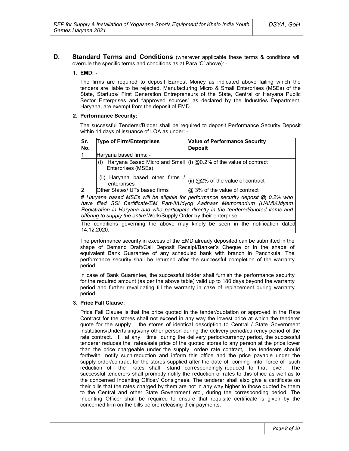**D. Standard Terms and Conditions** (wherever applicable these terms & conditions will overrule the specific terms and conditions as at Para 'C' above): -

### **1. EMD: -**

The firms are required to deposit Earnest Money as indicated above failing which the tenders are liable to be rejected. Manufacturing Micro & Small Enterprises (MSEs) of the State, Startups/ First Generation Entrepreneurs of the State, Central or Haryana Public Sector Enterprises and "approved sources" as declared by the Industries Department, Haryana, are exempt from the deposit of EMD.

#### **2. Performance Security:**

The successful Tenderer/Bidder shall be required to deposit Performance Security Deposit within 14 days of issuance of LOA as under: -

| Sr. | <b>Type of Firm/Enterprises</b>               | <b>Value of Performance Security</b>                                              |
|-----|-----------------------------------------------|-----------------------------------------------------------------------------------|
| No. |                                               | <b>Deposit</b>                                                                    |
| ł1  | Haryana based firms: -                        |                                                                                   |
|     | (i)<br>Enterprises (MSEs)                     | Haryana Based Micro and Small (i) @0.2% of the value of contract                  |
|     | (ii) Haryana based other firms<br>enterprises | (ii) @2% of the value of contract                                                 |
| 2   | Other States/ UTs based firms                 | @ 3% of the value of contract                                                     |
|     |                                               | # Haryana based MSEs will be eligible for performance security deposit @ 0.2% who |
|     |                                               | have filed SSL Certificate/FM Part-II/IIdvog Aadhaar Memorandum (IIAM)/IIdvam I   |

*have filed SSI Certificate/EM Part-II/Udyog Aadhaar Memorandum (UAM)/Udyam Registration in Haryana and who participate directly in the tendered/quoted items and offering to supply the entire* Work/Supply Order by their enterprise*.*

The conditions governing the above may kindly be seen in the notification dated 14.12.2020.

The performance security in excess of the EMD already deposited can be submitted in the shape of Demand Draft/Call Deposit Receipt/Banker's Cheque or in the shape of equivalent Bank Guarantee of any scheduled bank with branch in Panchkula. The performance security shall be returned after the successful completion of the warranty period.

In case of Bank Guarantee, the successful bidder shall furnish the performance security for the required amount (as per the above table) valid up to 180 days beyond the warranty period and further revalidating till the warranty in case of replacement during warranty period.

#### **3. Price Fall Clause:**

Price Fall Clause is that the price quoted in the tender/quotation or approved in the Rate Contract for the stores shall not exceed in any way the lowest price at which the tenderer quote for the supply the stores of identical description to Central / State Government Institutions/Undertakings/any other person during the delivery period/currency period of the rate contract. If, at any time during the delivery period/currency period, the successful tenderer reduces the rates/sale price of the quoted stores to any person at the price lower than the price chargeable under the supply order/ rate contract, the tenderers should forthwith notify such reduction and inform this office and the price payable under the supply order/contract for the stores supplied after the date of coming into force of such reduction of the rates shall stand correspondingly reduced to that level. The successful tenderers shall promptly notify the reduction of rates to this office as well as to the concerned Indenting Officer/ Consignees. The tenderer shall also give a certificate on their bills that the rates charged by them are not in any way higher to those quoted by them to the Central and other State Government etc., during the corresponding period. The Indenting Officer shall be required to ensure that requisite certificate is given by the concerned firm on the bills before releasing their payments.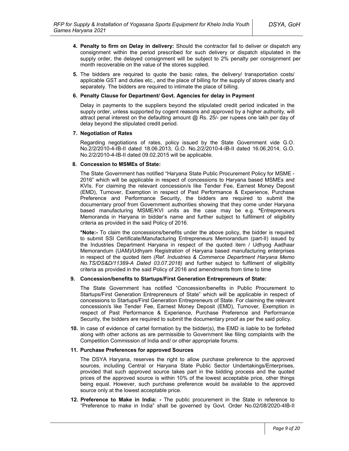- **4. Penalty to firm on Delay in delivery:** Should the contractor fail to deliver or dispatch any consignment within the period prescribed for such delivery or dispatch stipulated in the supply order, the delayed consignment will be subject to 2% penalty per consignment per month recoverable on the value of the stores supplied.
- **5.** The bidders are required to quote the basic rates, the delivery/ transportation costs/ applicable GST and duties etc., and the place of billing for the supply of stores clearly and separately. The bidders are required to intimate the place of billing.

#### **6. Penalty Clause for Department/ Govt. Agencies for delay in Payment**

Delay in payments to the suppliers beyond the stipulated credit period indicated in the supply order, unless supported by cogent reasons and approved by a higher authority, will attract penal interest on the defaulting amount @ Rs. 25/- per rupees one lakh per day of delay beyond the stipulated credit period.

#### **7. Negotiation of Rates**

Regarding negotiations of rates, policy issued by the State Government vide G.O. No.2/2/2010-4-IB-II dated 18.06.2013, G.O. No.2/2/2010-4-IB-II dated 16.06.2014, G.O. No.2/2/2010-4-IB-II dated 09.02.2015 will be applicable.

#### **8. Concession to MSMEs of State:**

The State Government has notified "Haryana State Public Procurement Policy for MSME - 2016" which will be applicable in respect of concessions to Haryana based MSMEs and KVIs. For claiming the relevant concession/s like Tender Fee, Earnest Money Deposit (EMD), Turnover, Exemption in respect of Past Performance & Experience, Purchase Preference and Performance Security, the bidders are required to submit the documentary proof from Government authorities showing that they come under Haryana based manufacturing MSME/KVI units as the case may be e.g. **\***Entrepreneurs Memoranda in Haryana in bidder's name and further subject to fulfilment of eligibility criteria as provided in the said Policy of 2016.

**\*Note:-** To claim the concessions/benefits under the above policy, the bidder is required to submit SSI Certificate/Manufacturing Entrepreneurs Memorandum (part-II) issued by the Industries Department Haryana in respect of the quoted item / Udhyog Aadhaar Memorandum (UAM)/Udhyam Registration of Haryana based manufacturing enterprises in respect of the quoted item *(Ref. Industries & Commerce Department Haryana Memo No.TS/DS&D/11389-A Dated 03.07.2018)* and further subject to fulfilment of eligibility criteria as provided in the said Policy of 2016 and amendments from time to time

#### **9. Concession/benefits to Startups/First Generation Entrepreneurs of State:**

The State Government has notified "Concession/benefits in Public Procurement to Startups/First Generation Entrepreneurs of State" which will be applicable in respect of concessions to Startups/First Generation Entrepreneurs of State. For claiming the relevant concession/s like Tender Fee, Earnest Money Deposit (EMD), Turnover, Exemption in respect of Past Performance & Experience, Purchase Preference and Performance Security, the bidders are required to submit the documentary proof as per the said policy.

**10.** In case of evidence of cartel formation by the bidder(s), the EMD is liable to be forfeited along with other actions as are permissible to Government like filing complaints with the Competition Commission of India and/ or other appropriate forums.

#### **11. Purchase Preferences for approved Sources**

The DSYA Haryana, reserves the right to allow purchase preference to the approved sources, including Central or Haryana State Public Sector Undertakings/Enterprises, provided that such approved source takes part in the bidding process and the quoted prices of the approved source is within 10% of the lowest acceptable price, other things being equal. However, such purchase preference would be available to the approved source only at the lowest acceptable price.

**12. Preference to Make in India: -** The public procurement in the State in reference to "Preference to make in India" shall be governed by Govt. Order No.02/08/2020-4IB-II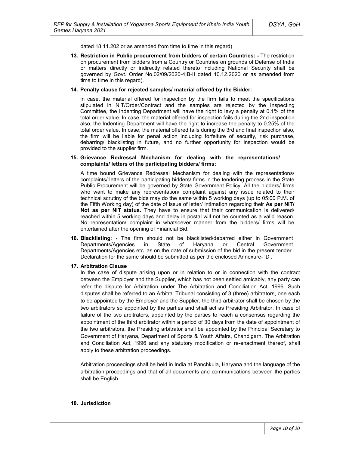dated 18.11.202 or as amended from time to time in this regard)

**13. Restriction in Public procurement from bidders of certain Countries: -** The restriction on procurement from bidders from a Country or Countries on grounds of Defense of India or matters directly or indirectly related thereto including National Security shall be governed by Govt. Order No.02/09/2020-4IB-II dated 10.12.2020 or as amended from time to time in this regard).

#### **14. Penalty clause for rejected samples/ material offered by the Bidder:**

In case, the material offered for inspection by the firm fails to meet the specifications stipulated in NIT/Order/Contract and the samples are rejected by the Inspecting Committee, the Indenting Department will have the right to levy a penalty at 0.1% of the total order value. In case, the material offered for inspection fails during the 2nd inspection also, the Indenting Department will have the right to increase the penalty to 0.25% of the total order value. In case, the material offered fails during the 3rd and final inspection also, the firm will be liable for penal action including forfeiture of security, risk purchase, debarring/ blacklisting in future, and no further opportunity for inspection would be provided to the supplier firm.

#### **15. Grievance Redressal Mechanism for dealing with the representations/ complaints/ letters of the participating bidders/ firms:**

A time bound Grievance Redressal Mechanism for dealing with the representations/ complaints/ letters of the participating bidders/ firms in the tendering process in the State Public Procurement will be governed by State Government Policy. All the bidders/ firms who want to make any representation/ complaint against any issue related to their technical scrutiny of the bids may do the same within 5 working days (up to 05:00 P.M. of the Fifth Working day) of the date of issue of letter/ intimation regarding their **As per NIT/ Not as per NIT status.** They have to ensure that their communication is delivered/ reached within 5 working days and delay in postal will not be counted as a valid reason. No representation/ complaint in whatsoever manner from the bidders/ firms will be entertained after the opening of Financial Bid.

**16. Blacklisting**: - The firm should not be blacklisted/debarred either in Government Departments/Agencies in State of Haryana or Central Government Departments/Agencies etc. as on the date of submission of the bid in the present tender. Declaration for the same should be submitted as per the enclosed Annexure- 'D'.

#### **17. Arbitration Clause**

In the case of dispute arising upon or in relation to or in connection with the contract between the Employer and the Supplier, which has not been settled amicably, any party can refer the dispute for Arbitration under The Arbitration and Conciliation Act, 1996. Such disputes shall be referred to an Arbitral Tribunal consisting of 3 (three) arbitrators, one each to be appointed by the Employer and the Supplier, the third arbitrator shall be chosen by the two arbitrators so appointed by the parties and shall act as Presiding Arbitrator. In case of failure of the two arbitrators, appointed by the parties to reach a consensus regarding the appointment of the third arbitrator within a period of 30 days from the date of appointment of the two arbitrators, the Presiding arbitrator shall be appointed by the Principal Secretary to Government of Haryana, Department of Sports & Youth Affairs, Chandigarh. The Arbitration and Conciliation Act, 1996 and any statutory modification or re-enactment thereof, shall apply to these arbitration proceedings.

Arbitration proceedings shall be held in India at Panchkula, Haryana and the language of the arbitration proceedings and that of all documents and communications between the parties shall be English.

#### **18. Jurisdiction**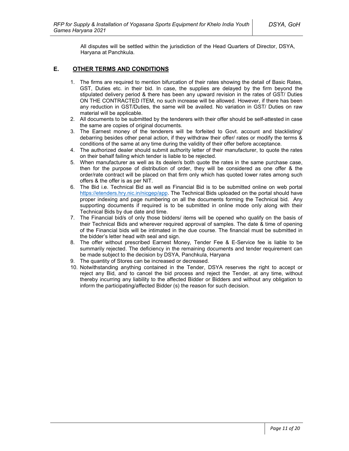All disputes will be settled within the jurisdiction of the Head Quarters of Director, DSYA, Haryana at Panchkula.

### **E. OTHER TERMS AND CONDITIONS**

- 1. The firms are required to mention bifurcation of their rates showing the detail of Basic Rates, GST, Duties etc. in their bid. In case, the supplies are delayed by the firm beyond the stipulated delivery period & there has been any upward revision in the rates of GST/ Duties ON THE CONTRACTED ITEM, no such increase will be allowed. However, if there has been any reduction in GST/Duties, the same will be availed. No variation in GST/ Duties on raw material will be applicable.
- 2. All documents to be submitted by the tenderers with their offer should be self-attested in case the same are copies of original documents.
- 3. The Earnest money of the tenderers will be forfeited to Govt. account and blacklisting/ debarring besides other penal action, if they withdraw their offer/ rates or modify the terms & conditions of the same at any time during the validity of their offer before acceptance.
- 4. The authorized dealer should submit authority letter of their manufacturer, to quote the rates on their behalf failing which tender is liable to be rejected.
- 5. When manufacturer as well as its dealer/s both quote the rates in the same purchase case, then for the purpose of distribution of order, they will be considered as one offer & the order/rate contract will be placed on that firm only which has quoted lower rates among such offers & the offer is as per NIT.
- 6. The Bid i.e. Technical Bid as well as Financial Bid is to be submitted online on web portal https://etenders.hry.nic.in/nicgep/app. The Technical Bids uploaded on the portal should have proper indexing and page numbering on all the documents forming the Technical bid. Any supporting documents if required is to be submitted in online mode only along with their Technical Bids by due date and time.
- 7. The Financial bid/s of only those bidders/ items will be opened who qualify on the basis of their Technical Bids and wherever required approval of samples. The date & time of opening of the Financial bids will be intimated in the due course. The financial must be submitted in the bidder's letter head with seal and sign.
- 8. The offer without prescribed Earnest Money, Tender Fee & E-Service fee is liable to be summarily rejected. The deficiency in the remaining documents and tender requirement can be made subject to the decision by DSYA, Panchkula, Haryana
- 9. The quantity of Stores can be increased or decreased.
- 10. Notwithstanding anything contained in the Tender, DSYA reserves the right to accept or reject any Bid, and to cancel the bid process and reject the Tender, at any time, without thereby incurring any liability to the affected Bidder or Bidders and without any obligation to inform the participating/affected Bidder (s) the reason for such decision.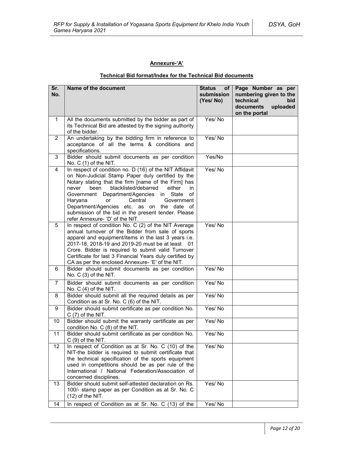### **Annexure-'A'**

### **Technical Bid format/Index for the Technical Bid documents**

| Sr.<br>No.              | Name of the document                                                                                                                                                                                                                                                                                                                                                                                                                                                    | <b>Status</b><br>of <sub>1</sub><br>submission<br>(Yes/No) | Page Number as per<br>numbering given to the<br>technical<br>bid<br>documents<br>uploaded<br>on the portal |
|-------------------------|-------------------------------------------------------------------------------------------------------------------------------------------------------------------------------------------------------------------------------------------------------------------------------------------------------------------------------------------------------------------------------------------------------------------------------------------------------------------------|------------------------------------------------------------|------------------------------------------------------------------------------------------------------------|
| $\mathbf{1}$            | All the documents submitted by the bidder as part of<br>its Technical Bid are attested by the signing authority<br>of the bidder.                                                                                                                                                                                                                                                                                                                                       | Yes/No                                                     |                                                                                                            |
| $\overline{2}$          | An undertaking by the bidding firm in reference to<br>acceptance of all the terms & conditions and<br>specifications.                                                                                                                                                                                                                                                                                                                                                   | Yes/No                                                     |                                                                                                            |
| 3                       | Bidder should submit documents as per condition<br>No. $C(1)$ of the NIT.                                                                                                                                                                                                                                                                                                                                                                                               | Yes/No                                                     |                                                                                                            |
| $\overline{\mathbf{4}}$ | In respect of condition no. D (16) of the NIT Affidavit<br>on Non-Judicial Stamp Paper duly certified by the<br>Notary stating that the firm [name of the Firm] has<br>blacklisted/debarred<br>either<br>never<br>been<br>in.<br>Government Department/Agencies in State<br>οf<br>Haryana<br>Central<br>Government<br><b>or</b><br>Department/Agencies etc. as on the date of<br>submission of the bid in the present tender. Please<br>refer Annexure- 'D' of the NIT. | Yes/No                                                     |                                                                                                            |
| 5                       | In respect of condition No. C (2) of the NIT Average<br>annual turnover of the Bidder from sale of sports<br>apparel and equipment/items in the last 3 years i.e.<br>2017-18, 2018-19 and 2019-20 must be at least 01<br>Crore. Bidder is required to submit valid Turnover<br>Certificate for last 3 Financial Years duly certified by<br>CA as per the enclosed Annexure- 'E' of the NIT.                                                                             | Yes/No                                                     |                                                                                                            |
| 6                       | Bidder should submit documents as per condition<br>No. C (3) of the NIT.                                                                                                                                                                                                                                                                                                                                                                                                | Yes/No                                                     |                                                                                                            |
| $\overline{7}$          | Bidder should submit documents as per condition<br>No. $C(4)$ of the NIT.                                                                                                                                                                                                                                                                                                                                                                                               | Yes/No                                                     |                                                                                                            |
| 8                       | Bidder should submit all the required details as per<br>Condition as at Sr. No. C (6) of the NIT.                                                                                                                                                                                                                                                                                                                                                                       | Yes/No                                                     |                                                                                                            |
| 9                       | Bidder should submit certificate as per condition No.<br>$C(7)$ of the NIT.                                                                                                                                                                                                                                                                                                                                                                                             | Yes/No                                                     |                                                                                                            |
| 10                      | Bidder should submit the warranty certificate as per<br>condition No. C (8) of the NIT.                                                                                                                                                                                                                                                                                                                                                                                 | Yes/No                                                     |                                                                                                            |
| 11                      | Bidder should submit certificate as per condition No.<br>$C(9)$ of the NIT.                                                                                                                                                                                                                                                                                                                                                                                             | Yes/No                                                     |                                                                                                            |
| 12                      | In respect of Condition as at Sr. No. C (10) of the<br>NIT-the bidder is required to submit certificate that<br>the technical specification of the sports equipment<br>used in competitions should be as per rule of the<br>International / National Federation/Association of<br>concerned disciplines.                                                                                                                                                                | Yes/No                                                     |                                                                                                            |
| 13                      | Bidder should submit self-attested declaration on Rs.<br>100/- stamp paper as per Condition as at Sr. No. C<br>$(12)$ of the NIT.                                                                                                                                                                                                                                                                                                                                       | Yes/No                                                     |                                                                                                            |
| 14                      | In respect of Condition as at Sr. No. C (13) of the                                                                                                                                                                                                                                                                                                                                                                                                                     | Yes/No                                                     |                                                                                                            |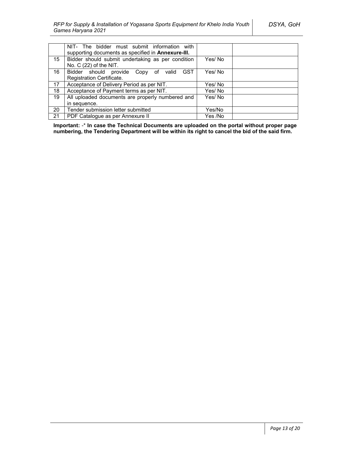|    | NIT- The bidder must submit information with<br>supporting documents as specified in Annexure-III. |         |  |
|----|----------------------------------------------------------------------------------------------------|---------|--|
| 15 | Bidder should submit undertaking as per condition<br>No. $C(22)$ of the NIT.                       | Yes/ No |  |
| 16 | Bidder should provide Copy of valid<br><b>GST</b>                                                  | Yes/No  |  |
|    | Registration Certificate.                                                                          |         |  |
| 17 | Acceptance of Delivery Period as per NIT.                                                          | Yes/ No |  |
| 18 | Acceptance of Payment terms as per NIT.                                                            | Yes/ No |  |
| 19 | All uploaded documents are properly numbered and                                                   | Yes/No  |  |
|    | in sequence.                                                                                       |         |  |
| 20 | Tender submission letter submitted                                                                 | Yes/No  |  |
| 21 | PDF Catalogue as per Annexure II                                                                   | Yes /No |  |

**Important:** -\* **In case the Technical Documents are uploaded on the portal without proper page numbering, the Tendering Department will be within its right to cancel the bid of the said firm.**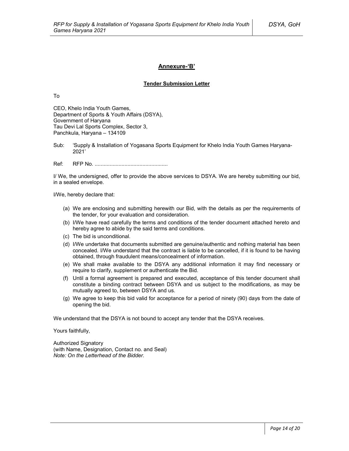### **Annexure-'B'**

#### **Tender Submission Letter**

To

CEO, Khelo India Youth Games, Department of Sports & Youth Affairs (DSYA), Government of Haryana Tau Devi Lal Sports Complex, Sector 3, Panchkula, Haryana – 134109

Sub: 'Supply & Installation of Yogasana Sports Equipment for Khelo India Youth Games Haryana-2021'

Ref: RFP No. .................................................

I/ We, the undersigned, offer to provide the above services to DSYA. We are hereby submitting our bid, in a sealed envelope.

I/We, hereby declare that:

- (a) We are enclosing and submitting herewith our Bid, with the details as per the requirements of the tender, for your evaluation and consideration.
- (b) I/We have read carefully the terms and conditions of the tender document attached hereto and hereby agree to abide by the said terms and conditions.
- (c) The bid is unconditional.
- (d) I/We undertake that documents submitted are genuine/authentic and nothing material has been concealed. I/We understand that the contract is liable to be cancelled, if it is found to be having obtained, through fraudulent means/concealment of information.
- (e) We shall make available to the DSYA any additional information it may find necessary or require to clarify, supplement or authenticate the Bid.
- (f) Until a formal agreement is prepared and executed, acceptance of this tender document shall constitute a binding contract between DSYA and us subject to the modifications, as may be mutually agreed to, between DSYA and us.
- (g) We agree to keep this bid valid for acceptance for a period of ninety (90) days from the date of opening the bid.

We understand that the DSYA is not bound to accept any tender that the DSYA receives.

Yours faithfully,

Authorized Signatory (with Name, Designation, Contact no. and Seal) *Note: On the Letterhead of the Bidder.*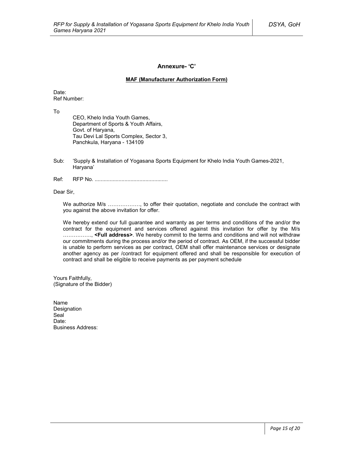### **Annexure- 'C'**

#### **MAF (Manufacturer Authorization Form)**

Date: Ref Number:

To

CEO, Khelo India Youth Games, Department of Sports & Youth Affairs, Govt. of Haryana, Tau Devi Lal Sports Complex, Sector 3, Panchkula, Haryana - 134109

- Sub: 'Supply & Installation of Yogasana Sports Equipment for Khelo India Youth Games-2021, Haryana'
- Ref: RFP No. .................................................

Dear Sir,

We authorize M/s ………………, to offer their quotation, negotiate and conclude the contract with you against the above invitation for offer.

We hereby extend our full guarantee and warranty as per terms and conditions of the and/or the contract for the equipment and services offered against this invitation for offer by the M/s ……………., **<Full address>**. We hereby commit to the terms and conditions and will not withdraw our commitments during the process and/or the period of contract. As OEM, if the successful bidder is unable to perform services as per contract, OEM shall offer maintenance services or designate another agency as per /contract for equipment offered and shall be responsible for execution of contract and shall be eligible to receive payments as per payment schedule

Yours Faithfully, (Signature of the Bidder)

Name Designation Seal<sup>1</sup> Date<sup>.</sup> Business Address: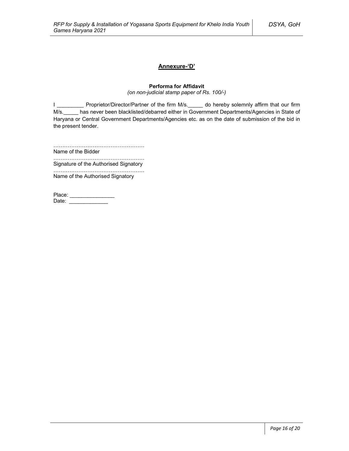### **Annexure-'D'**

### **Performa for Affidavit**

*(on non-judicial stamp paper of Rs. 100/-)*

I \_\_\_\_\_\_\_\_\_\_\_ Proprietor/Director/Partner of the firm M/s.\_\_\_\_\_ do hereby solemnly affirm that our firm M/s.\_\_\_\_\_ has never been blacklisted/debarred either in Government Departments/Agencies in State of Haryana or Central Government Departments/Agencies etc. as on the date of submission of the bid in the present tender.

……………………………………………

Name of the Bidder ……………………………………………

Signature of the Authorised Signatory

…………………………………………… Name of the Authorised Signatory

| Place: |  |
|--------|--|
| Date:  |  |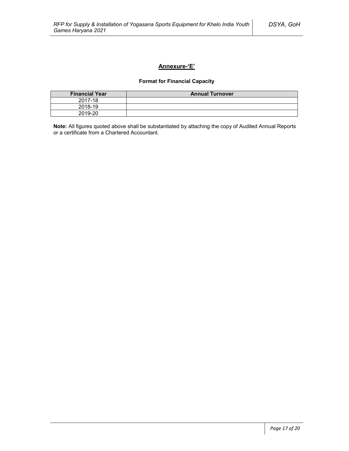### **Annexure-'E'**

### **Format for Financial Capacity**

| <b>Financial Year</b> | <b>Annual Turnover</b> |
|-----------------------|------------------------|
| 2017-18               |                        |
| 2018-19               |                        |
| 2019-20               |                        |

**Note:** All figures quoted above shall be substantiated by attaching the copy of Audited Annual Reports or a certificate from a Chartered Accountant.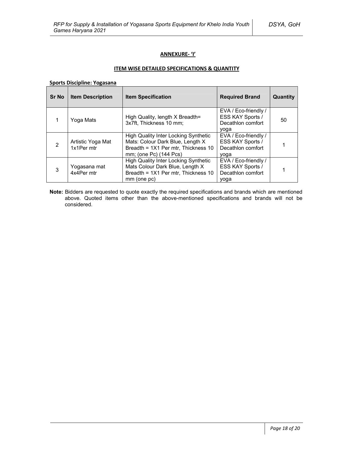### **ANNEXURE- 'I'**

### **ITEM WISE DETAILED SPECIFICATIONS & QUANTITY**

**Sports Discipline: Yogasana**

| <b>Sr No</b>  | <b>Item Description</b>         | <b>Item Specification</b>                                                                                                                        | <b>Required Brand</b>                                                 | Quantity |
|---------------|---------------------------------|--------------------------------------------------------------------------------------------------------------------------------------------------|-----------------------------------------------------------------------|----------|
|               | Yoga Mats                       | High Quality, length X Breadth=<br>3x7ft, Thickness 10 mm;                                                                                       | EVA / Eco-friendly /<br>ESS KAY Sports /<br>Decathlon comfort<br>yoga | 50       |
| $\mathcal{P}$ | Artistic Yoga Mat<br>1x1Per mtr | <b>High Quality Inter Locking Synthetic</b><br>Mats: Colour Dark Blue, Length X<br>Breadth = 1X1 Per mtr, Thickness 10<br>mm; (one Pc) (144 Pcs) | EVA / Eco-friendly /<br>ESS KAY Sports /<br>Decathlon comfort<br>yoga |          |
| 3             | Yogasana mat<br>4x4Per mtr      | <b>High Quality Inter Locking Synthetic</b><br>Mats Colour Dark Blue, Length X<br>Breadth = 1X1 Per mtr, Thickness 10<br>mm (one pc)             | EVA / Eco-friendly /<br>ESS KAY Sports /<br>Decathlon comfort<br>yoga |          |

**Note:** Bidders are requested to quote exactly the required specifications and brands which are mentioned above. Quoted items other than the above-mentioned specifications and brands will not be considered.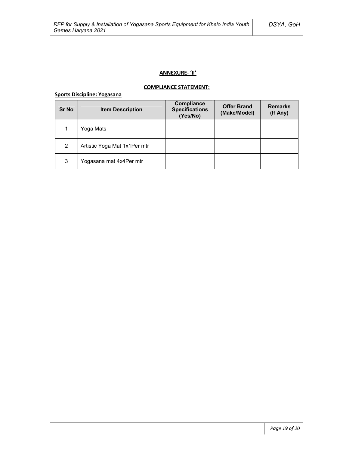### **ANNEXURE- 'II'**

### **COMPLIANCE STATEMENT:**

# **Sports Discipline: Yogasana**

| <b>Sr No</b> | <b>Item Description</b>      | Compliance<br><b>Specifications</b><br>(Yes/No) | <b>Offer Brand</b><br>(Make/Model) | <b>Remarks</b><br>(If Any) |
|--------------|------------------------------|-------------------------------------------------|------------------------------------|----------------------------|
| 1            | Yoga Mats                    |                                                 |                                    |                            |
| 2            | Artistic Yoga Mat 1x1Per mtr |                                                 |                                    |                            |
| 3            | Yogasana mat 4x4Per mtr      |                                                 |                                    |                            |